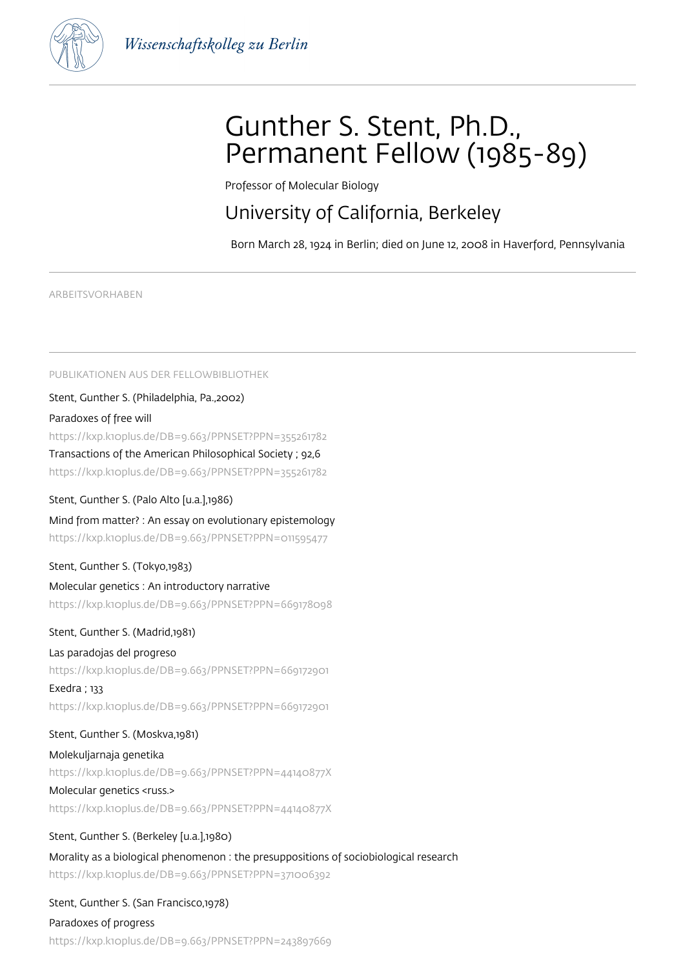

# Gunther S. Stent, Ph.D., Permanent Fellow (1985-89)

Professor of Molecular Biology

# University of California, Berkeley

Born March 28, 1924 in Berlin; died on June 12, 2008 in Haverford, Pennsylvania

ARBEITSVORHABEN

PUBLIKATIONEN AUS DER FELLOWBIBLIOTHEK

Stent, Gunther S. (Philadelphia, Pa.,2002)

Paradoxes of free will

https://kxp.k10plus.de/DB=9.663/PPNSET?PPN=355261782

Transactions of the American Philosophical Society ; 92,6

https://kxp.k10plus.de/DB=9.663/PPNSET?PPN=355261782

Stent, Gunther S. (Palo Alto [u.a.],1986)

Mind from matter? : An essay on evolutionary epistemology https://kxp.k10plus.de/DB=9.663/PPNSET?PPN=011595477

Stent, Gunther S. (Tokyo,1983)

### Molecular genetics : An introductory narrative

https://kxp.k10plus.de/DB=9.663/PPNSET?PPN=669178098

Stent, Gunther S. (Madrid,1981)

#### Las paradojas del progreso

https://kxp.k10plus.de/DB=9.663/PPNSET?PPN=669172901

Exedra ; 133

https://kxp.k10plus.de/DB=9.663/PPNSET?PPN=669172901

#### Stent, Gunther S. (Moskva,1981)

Molekuljarnaja genetika https://kxp.k10plus.de/DB=9.663/PPNSET?PPN=44140877X Molecular genetics <russ.> https://kxp.k10plus.de/DB=9.663/PPNSET?PPN=44140877X

Stent, Gunther S. (Berkeley [u.a.],1980) Morality as a biological phenomenon : the presuppositions of sociobiological research https://kxp.k10plus.de/DB=9.663/PPNSET?PPN=371006392

Stent, Gunther S. (San Francisco,1978) Paradoxes of progress https://kxp.k10plus.de/DB=9.663/PPNSET?PPN=243897669